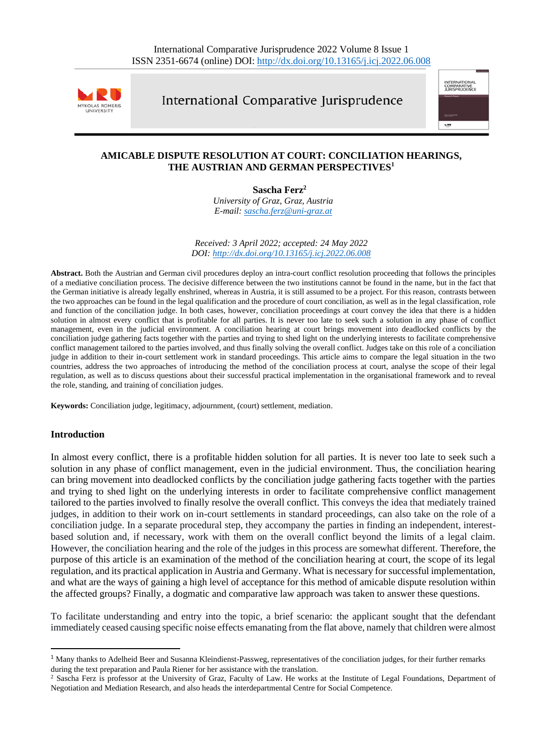

International Comparative Jurisprudence



# **AMICABLE DISPUTE RESOLUTION AT COURT: CONCILIATION HEARINGS, THE AUSTRIAN AND GERMAN PERSPECTIVES 1**

**Sascha Ferz<sup>2</sup>**

*University of Graz, Graz, Austria E-mail: [sascha.ferz@uni-graz.at](mailto:sascha.ferz@uni-graz.at)*

*Received: 3 April 2022; accepted: 24 May 2022 DOI: <http://dx.doi.org/10.13165/j.icj.2022.06.008>*

**Abstract.** Both the Austrian and German civil procedures deploy an intra-court conflict resolution proceeding that follows the principles of a mediative conciliation process. The decisive difference between the two institutions cannot be found in the name, but in the fact that the German initiative is already legally enshrined, whereas in Austria, it is still assumed to be a project. For this reason, contrasts between the two approaches can be found in the legal qualification and the procedure of court conciliation, as well as in the legal classification, role and function of the conciliation judge. In both cases, however, conciliation proceedings at court convey the idea that there is a hidden solution in almost every conflict that is profitable for all parties. It is never too late to seek such a solution in any phase of conflict management, even in the judicial environment. A conciliation hearing at court brings movement into deadlocked conflicts by the conciliation judge gathering facts together with the parties and trying to shed light on the underlying interests to facilitate comprehensive conflict management tailored to the parties involved, and thus finally solving the overall conflict. Judges take on this role of a conciliation judge in addition to their in-court settlement work in standard proceedings. This article aims to compare the legal situation in the two countries, address the two approaches of introducing the method of the conciliation process at court, analyse the scope of their legal regulation, as well as to discuss questions about their successful practical implementation in the organisational framework and to reveal the role, standing, and training of conciliation judges.

**Keywords:** Conciliation judge, legitimacy, adjournment, (court) settlement, mediation.

#### **Introduction**

In almost every conflict, there is a profitable hidden solution for all parties. It is never too late to seek such a solution in any phase of conflict management, even in the judicial environment. Thus, the conciliation hearing can bring movement into deadlocked conflicts by the conciliation judge gathering facts together with the parties and trying to shed light on the underlying interests in order to facilitate comprehensive conflict management tailored to the parties involved to finally resolve the overall conflict. This conveys the idea that mediately trained judges, in addition to their work on in-court settlements in standard proceedings, can also take on the role of a conciliation judge. In a separate procedural step, they accompany the parties in finding an independent, interestbased solution and, if necessary, work with them on the overall conflict beyond the limits of a legal claim. However, the conciliation hearing and the role of the judges in this process are somewhat different. Therefore, the purpose of this article is an examination of the method of the conciliation hearing at court, the scope of its legal regulation, and its practical application in Austria and Germany. What is necessary for successful implementation, and what are the ways of gaining a high level of acceptance for this method of amicable dispute resolution within the affected groups? Finally, a dogmatic and comparative law approach was taken to answer these questions.

To facilitate understanding and entry into the topic, a brief scenario: the applicant sought that the defendant immediately ceased causing specific noise effects emanating from the flat above, namely that children were almost

<sup>&</sup>lt;sup>1</sup> Many thanks to Adelheid Beer and Susanna Kleindienst-Passweg, representatives of the conciliation judges, for their further remarks during the text preparation and Paula Riener for her assistance with the translation.

<sup>&</sup>lt;sup>2</sup> Sascha Ferz is professor at the University of Graz, Faculty of Law. He works at the Institute of Legal Foundations, Department of Negotiation and Mediation Research, and also heads the interdepartmental Centre for Social Competence.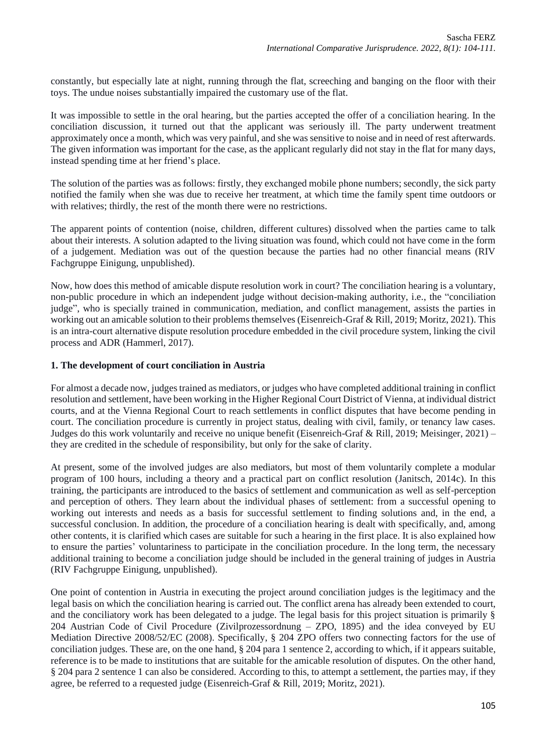constantly, but especially late at night, running through the flat, screeching and banging on the floor with their toys. The undue noises substantially impaired the customary use of the flat.

It was impossible to settle in the oral hearing, but the parties accepted the offer of a conciliation hearing. In the conciliation discussion, it turned out that the applicant was seriously ill. The party underwent treatment approximately once a month, which was very painful, and she was sensitive to noise and in need of rest afterwards. The given information was important for the case, as the applicant regularly did not stay in the flat for many days, instead spending time at her friend's place.

The solution of the parties was as follows: firstly, they exchanged mobile phone numbers; secondly, the sick party notified the family when she was due to receive her treatment, at which time the family spent time outdoors or with relatives; thirdly, the rest of the month there were no restrictions.

The apparent points of contention (noise, children, different cultures) dissolved when the parties came to talk about their interests. A solution adapted to the living situation was found, which could not have come in the form of a judgement. Mediation was out of the question because the parties had no other financial means (RIV Fachgruppe Einigung, unpublished).

Now, how does this method of amicable dispute resolution work in court? The conciliation hearing is a voluntary, non-public procedure in which an independent judge without decision-making authority, i.e., the "conciliation judge", who is specially trained in communication, mediation, and conflict management, assists the parties in working out an amicable solution to their problems themselves (Eisenreich-Graf & Rill, 2019; Moritz, 2021). This is an intra-court alternative dispute resolution procedure embedded in the civil procedure system, linking the civil process and ADR (Hammerl, 2017).

## **1. The development of court conciliation in Austria**

For almost a decade now, judges trained as mediators, or judges who have completed additional training in conflict resolution and settlement, have been working in the Higher Regional Court District of Vienna, at individual district courts, and at the Vienna Regional Court to reach settlements in conflict disputes that have become pending in court. The conciliation procedure is currently in project status, dealing with civil, family, or tenancy law cases. Judges do this work voluntarily and receive no unique benefit (Eisenreich-Graf & Rill, 2019; Meisinger, 2021) – they are credited in the schedule of responsibility, but only for the sake of clarity.

At present, some of the involved judges are also mediators, but most of them voluntarily complete a modular program of 100 hours, including a theory and a practical part on conflict resolution (Janitsch, 2014c). In this training, the participants are introduced to the basics of settlement and communication as well as self-perception and perception of others. They learn about the individual phases of settlement: from a successful opening to working out interests and needs as a basis for successful settlement to finding solutions and, in the end, a successful conclusion. In addition, the procedure of a conciliation hearing is dealt with specifically, and, among other contents, it is clarified which cases are suitable for such a hearing in the first place. It is also explained how to ensure the parties' voluntariness to participate in the conciliation procedure. In the long term, the necessary additional training to become a conciliation judge should be included in the general training of judges in Austria (RIV Fachgruppe Einigung, unpublished).

One point of contention in Austria in executing the project around conciliation judges is the legitimacy and the legal basis on which the conciliation hearing is carried out. The conflict arena has already been extended to court, and the conciliatory work has been delegated to a judge. The legal basis for this project situation is primarily § 204 Austrian Code of Civil Procedure (Zivilprozessordnung – ZPO, 1895) and the idea conveyed by EU Mediation Directive 2008/52/EC (2008). Specifically, § 204 ZPO offers two connecting factors for the use of conciliation judges. These are, on the one hand, § 204 para 1 sentence 2, according to which, if it appears suitable, reference is to be made to institutions that are suitable for the amicable resolution of disputes. On the other hand, § 204 para 2 sentence 1 can also be considered. According to this, to attempt a settlement, the parties may, if they agree, be referred to a requested judge (Eisenreich-Graf & Rill, 2019; Moritz, 2021).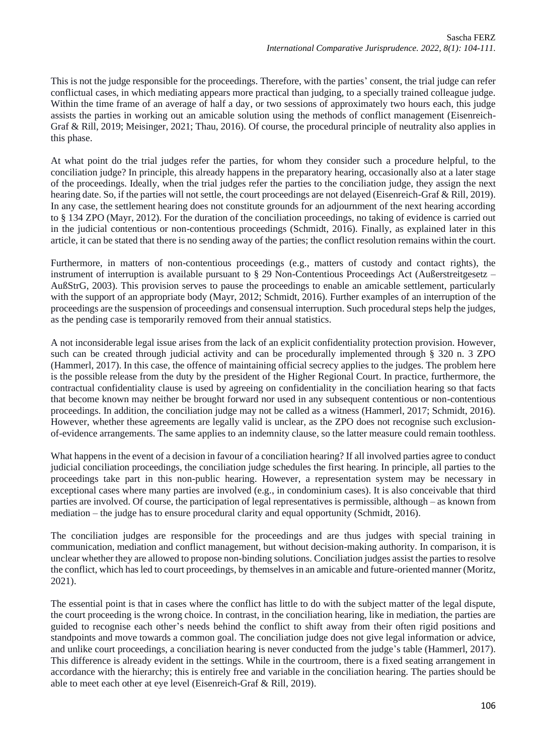This is not the judge responsible for the proceedings. Therefore, with the parties' consent, the trial judge can refer conflictual cases, in which mediating appears more practical than judging, to a specially trained colleague judge. Within the time frame of an average of half a day, or two sessions of approximately two hours each, this judge assists the parties in working out an amicable solution using the methods of conflict management (Eisenreich-Graf & Rill, 2019; Meisinger, 2021; Thau, 2016). Of course, the procedural principle of neutrality also applies in this phase.

At what point do the trial judges refer the parties, for whom they consider such a procedure helpful, to the conciliation judge? In principle, this already happens in the preparatory hearing, occasionally also at a later stage of the proceedings. Ideally, when the trial judges refer the parties to the conciliation judge, they assign the next hearing date. So, if the parties will not settle, the court proceedings are not delayed (Eisenreich-Graf & Rill, 2019). In any case, the settlement hearing does not constitute grounds for an adjournment of the next hearing according to § 134 ZPO (Mayr, 2012). For the duration of the conciliation proceedings, no taking of evidence is carried out in the judicial contentious or non-contentious proceedings (Schmidt, 2016). Finally, as explained later in this article, it can be stated that there is no sending away of the parties; the conflict resolution remains within the court.

Furthermore, in matters of non-contentious proceedings (e.g., matters of custody and contact rights), the instrument of interruption is available pursuant to § 29 Non-Contentious Proceedings Act (Außerstreitgesetz – AußStrG, 2003). This provision serves to pause the proceedings to enable an amicable settlement, particularly with the support of an appropriate body (Mayr, 2012; Schmidt, 2016). Further examples of an interruption of the proceedings are the suspension of proceedings and consensual interruption. Such procedural steps help the judges, as the pending case is temporarily removed from their annual statistics.

A not inconsiderable legal issue arises from the lack of an explicit confidentiality protection provision. However, such can be created through judicial activity and can be procedurally implemented through § 320 n. 3 ZPO (Hammerl, 2017). In this case, the offence of maintaining official secrecy applies to the judges. The problem here is the possible release from the duty by the president of the Higher Regional Court. In practice, furthermore, the contractual confidentiality clause is used by agreeing on confidentiality in the conciliation hearing so that facts that become known may neither be brought forward nor used in any subsequent contentious or non-contentious proceedings. In addition, the conciliation judge may not be called as a witness (Hammerl, 2017; Schmidt, 2016). However, whether these agreements are legally valid is unclear, as the ZPO does not recognise such exclusionof-evidence arrangements. The same applies to an indemnity clause, so the latter measure could remain toothless.

What happens in the event of a decision in favour of a conciliation hearing? If all involved parties agree to conduct judicial conciliation proceedings, the conciliation judge schedules the first hearing. In principle, all parties to the proceedings take part in this non-public hearing. However, a representation system may be necessary in exceptional cases where many parties are involved (e.g., in condominium cases). It is also conceivable that third parties are involved. Of course, the participation of legal representatives is permissible, although – as known from mediation – the judge has to ensure procedural clarity and equal opportunity (Schmidt, 2016).

The conciliation judges are responsible for the proceedings and are thus judges with special training in communication, mediation and conflict management, but without decision-making authority. In comparison, it is unclear whether they are allowed to propose non-binding solutions. Conciliation judges assist the parties to resolve the conflict, which has led to court proceedings, by themselves in an amicable and future-oriented manner (Moritz, 2021).

The essential point is that in cases where the conflict has little to do with the subject matter of the legal dispute, the court proceeding is the wrong choice. In contrast, in the conciliation hearing, like in mediation, the parties are guided to recognise each other's needs behind the conflict to shift away from their often rigid positions and standpoints and move towards a common goal. The conciliation judge does not give legal information or advice, and unlike court proceedings, a conciliation hearing is never conducted from the judge's table (Hammerl, 2017). This difference is already evident in the settings. While in the courtroom, there is a fixed seating arrangement in accordance with the hierarchy; this is entirely free and variable in the conciliation hearing. The parties should be able to meet each other at eye level (Eisenreich-Graf & Rill, 2019).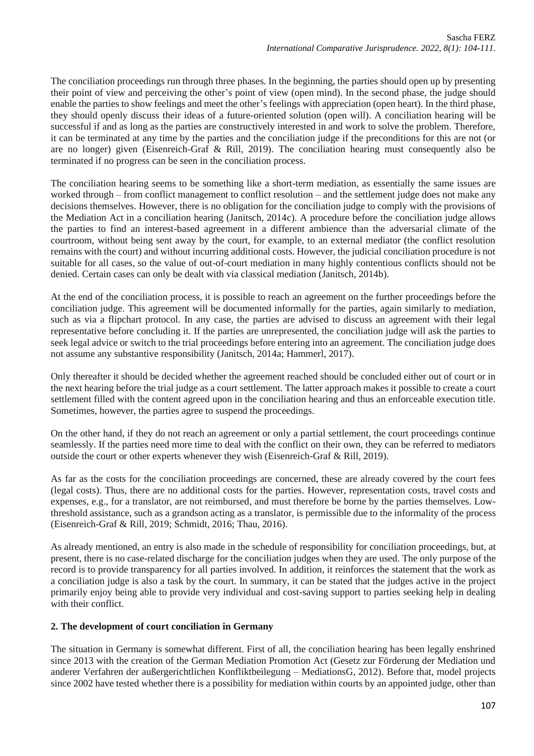The conciliation proceedings run through three phases. In the beginning, the parties should open up by presenting their point of view and perceiving the other's point of view (open mind). In the second phase, the judge should enable the parties to show feelings and meet the other's feelings with appreciation (open heart). In the third phase, they should openly discuss their ideas of a future-oriented solution (open will). A conciliation hearing will be successful if and as long as the parties are constructively interested in and work to solve the problem. Therefore, it can be terminated at any time by the parties and the conciliation judge if the preconditions for this are not (or are no longer) given (Eisenreich-Graf & Rill, 2019). The conciliation hearing must consequently also be terminated if no progress can be seen in the conciliation process.

The conciliation hearing seems to be something like a short-term mediation, as essentially the same issues are worked through – from conflict management to conflict resolution – and the settlement judge does not make any decisions themselves. However, there is no obligation for the conciliation judge to comply with the provisions of the Mediation Act in a conciliation hearing (Janitsch, 2014c). A procedure before the conciliation judge allows the parties to find an interest-based agreement in a different ambience than the adversarial climate of the courtroom, without being sent away by the court, for example, to an external mediator (the conflict resolution remains with the court) and without incurring additional costs. However, the judicial conciliation procedure is not suitable for all cases, so the value of out-of-court mediation in many highly contentious conflicts should not be denied. Certain cases can only be dealt with via classical mediation (Janitsch, 2014b).

At the end of the conciliation process, it is possible to reach an agreement on the further proceedings before the conciliation judge. This agreement will be documented informally for the parties, again similarly to mediation, such as via a flipchart protocol. In any case, the parties are advised to discuss an agreement with their legal representative before concluding it. If the parties are unrepresented, the conciliation judge will ask the parties to seek legal advice or switch to the trial proceedings before entering into an agreement. The conciliation judge does not assume any substantive responsibility (Janitsch, 2014a; Hammerl, 2017).

Only thereafter it should be decided whether the agreement reached should be concluded either out of court or in the next hearing before the trial judge as a court settlement. The latter approach makes it possible to create a court settlement filled with the content agreed upon in the conciliation hearing and thus an enforceable execution title. Sometimes, however, the parties agree to suspend the proceedings.

On the other hand, if they do not reach an agreement or only a partial settlement, the court proceedings continue seamlessly. If the parties need more time to deal with the conflict on their own, they can be referred to mediators outside the court or other experts whenever they wish (Eisenreich-Graf & Rill, 2019).

As far as the costs for the conciliation proceedings are concerned, these are already covered by the court fees (legal costs). Thus, there are no additional costs for the parties. However, representation costs, travel costs and expenses, e.g., for a translator, are not reimbursed, and must therefore be borne by the parties themselves. Lowthreshold assistance, such as a grandson acting as a translator, is permissible due to the informality of the process (Eisenreich-Graf & Rill, 2019; Schmidt, 2016; Thau, 2016).

As already mentioned, an entry is also made in the schedule of responsibility for conciliation proceedings, but, at present, there is no case-related discharge for the conciliation judges when they are used. The only purpose of the record is to provide transparency for all parties involved. In addition, it reinforces the statement that the work as a conciliation judge is also a task by the court. In summary, it can be stated that the judges active in the project primarily enjoy being able to provide very individual and cost-saving support to parties seeking help in dealing with their conflict.

#### **2. The development of court conciliation in Germany**

The situation in Germany is somewhat different. First of all, the conciliation hearing has been legally enshrined since 2013 with the creation of the German Mediation Promotion Act (Gesetz zur Förderung der Mediation und anderer Verfahren der außergerichtlichen Konfliktbeilegung – MediationsG, 2012). Before that, model projects since 2002 have tested whether there is a possibility for mediation within courts by an appointed judge, other than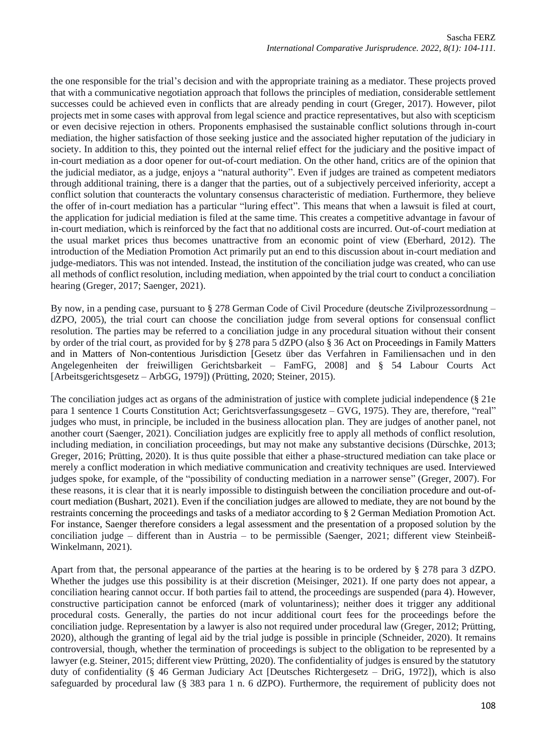the one responsible for the trial's decision and with the appropriate training as a mediator. These projects proved that with a communicative negotiation approach that follows the principles of mediation, considerable settlement successes could be achieved even in conflicts that are already pending in court (Greger, 2017). However, pilot projects met in some cases with approval from legal science and practice representatives, but also with scepticism or even decisive rejection in others. Proponents emphasised the sustainable conflict solutions through in-court mediation, the higher satisfaction of those seeking justice and the associated higher reputation of the judiciary in society. In addition to this, they pointed out the internal relief effect for the judiciary and the positive impact of in-court mediation as a door opener for out-of-court mediation. On the other hand, critics are of the opinion that the judicial mediator, as a judge, enjoys a "natural authority". Even if judges are trained as competent mediators through additional training, there is a danger that the parties, out of a subjectively perceived inferiority, accept a conflict solution that counteracts the voluntary consensus characteristic of mediation. Furthermore, they believe the offer of in-court mediation has a particular "luring effect". This means that when a lawsuit is filed at court, the application for judicial mediation is filed at the same time. This creates a competitive advantage in favour of in-court mediation, which is reinforced by the fact that no additional costs are incurred. Out-of-court mediation at the usual market prices thus becomes unattractive from an economic point of view (Eberhard, 2012). The introduction of the Mediation Promotion Act primarily put an end to this discussion about in-court mediation and judge-mediators. This was not intended. Instead, the institution of the conciliation judge was created, who can use all methods of conflict resolution, including mediation, when appointed by the trial court to conduct a conciliation hearing (Greger, 2017; Saenger, 2021).

By now, in a pending case, pursuant to § 278 German Code of Civil Procedure (deutsche Zivilprozessordnung – dZPO, 2005), the trial court can choose the conciliation judge from several options for consensual conflict resolution. The parties may be referred to a conciliation judge in any procedural situation without their consent by order of the trial court, as provided for by § 278 para 5 dZPO (also § 36 Act on Proceedings in Family Matters and in Matters of Non-contentious Jurisdiction [Gesetz über das Verfahren in Familiensachen und in den Angelegenheiten der freiwilligen Gerichtsbarkeit – FamFG, 2008] and § 54 Labour Courts Act [Arbeitsgerichtsgesetz – ArbGG, 1979]) (Prütting, 2020; Steiner, 2015).

The conciliation judges act as organs of the administration of justice with complete judicial independence (§ 21e para 1 sentence 1 Courts Constitution Act; Gerichtsverfassungsgesetz – GVG, 1975). They are, therefore, "real" judges who must, in principle, be included in the business allocation plan. They are judges of another panel, not another court (Saenger, 2021). Conciliation judges are explicitly free to apply all methods of conflict resolution, including mediation, in conciliation proceedings, but may not make any substantive decisions (Dürschke, 2013; Greger, 2016; Prütting, 2020). It is thus quite possible that either a phase-structured mediation can take place or merely a conflict moderation in which mediative communication and creativity techniques are used. Interviewed judges spoke, for example, of the "possibility of conducting mediation in a narrower sense" (Greger, 2007). For these reasons, it is clear that it is nearly impossible to distinguish between the conciliation procedure and out-ofcourt mediation (Bushart, 2021). Even if the conciliation judges are allowed to mediate, they are not bound by the restraints concerning the proceedings and tasks of a mediator according to § 2 German Mediation Promotion Act. For instance, Saenger therefore considers a legal assessment and the presentation of a proposed solution by the conciliation judge – different than in Austria – to be permissible (Saenger, 2021; different view Steinbeiß-Winkelmann, 2021).

Apart from that, the personal appearance of the parties at the hearing is to be ordered by § 278 para 3 dZPO. Whether the judges use this possibility is at their discretion (Meisinger, 2021). If one party does not appear, a conciliation hearing cannot occur. If both parties fail to attend, the proceedings are suspended (para 4). However, constructive participation cannot be enforced (mark of voluntariness); neither does it trigger any additional procedural costs. Generally, the parties do not incur additional court fees for the proceedings before the conciliation judge. Representation by a lawyer is also not required under procedural law (Greger, 2012; Prütting, 2020), although the granting of legal aid by the trial judge is possible in principle (Schneider, 2020). It remains controversial, though, whether the termination of proceedings is subject to the obligation to be represented by a lawyer (e.g. Steiner, 2015; different view Prütting, 2020). The confidentiality of judges is ensured by the statutory duty of confidentiality (§ 46 German Judiciary Act [Deutsches Richtergesetz – DriG, 1972]), which is also safeguarded by procedural law (§ 383 para 1 n. 6 dZPO). Furthermore, the requirement of publicity does not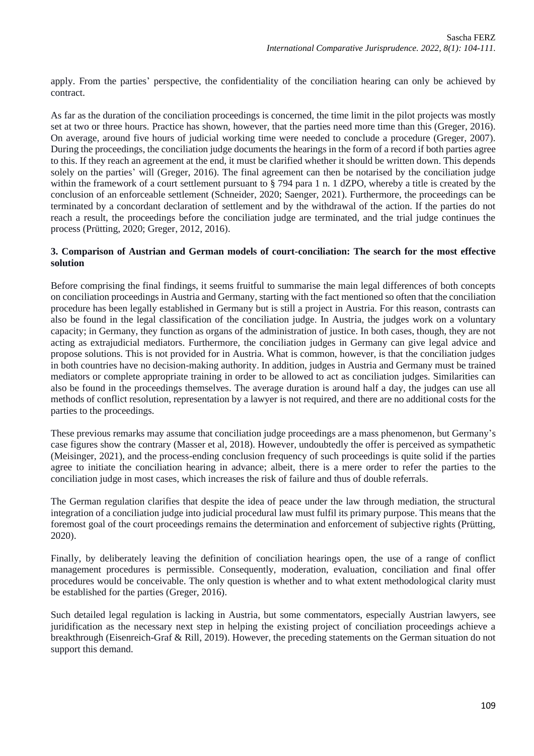apply. From the parties' perspective, the confidentiality of the conciliation hearing can only be achieved by contract.

As far as the duration of the conciliation proceedings is concerned, the time limit in the pilot projects was mostly set at two or three hours. Practice has shown, however, that the parties need more time than this (Greger, 2016). On average, around five hours of judicial working time were needed to conclude a procedure (Greger, 2007). During the proceedings, the conciliation judge documents the hearings in the form of a record if both parties agree to this. If they reach an agreement at the end, it must be clarified whether it should be written down. This depends solely on the parties' will (Greger, 2016). The final agreement can then be notarised by the conciliation judge within the framework of a court settlement pursuant to § 794 para 1 n. 1 dZPO, whereby a title is created by the conclusion of an enforceable settlement (Schneider, 2020; Saenger, 2021). Furthermore, the proceedings can be terminated by a concordant declaration of settlement and by the withdrawal of the action. If the parties do not reach a result, the proceedings before the conciliation judge are terminated, and the trial judge continues the process (Prütting, 2020; Greger, 2012, 2016).

## **3. Comparison of Austrian and German models of court-conciliation: The search for the most effective solution**

Before comprising the final findings, it seems fruitful to summarise the main legal differences of both concepts on conciliation proceedings in Austria and Germany, starting with the fact mentioned so often that the conciliation procedure has been legally established in Germany but is still a project in Austria. For this reason, contrasts can also be found in the legal classification of the conciliation judge. In Austria, the judges work on a voluntary capacity; in Germany, they function as organs of the administration of justice. In both cases, though, they are not acting as extrajudicial mediators. Furthermore, the conciliation judges in Germany can give legal advice and propose solutions. This is not provided for in Austria. What is common, however, is that the conciliation judges in both countries have no decision-making authority. In addition, judges in Austria and Germany must be trained mediators or complete appropriate training in order to be allowed to act as conciliation judges. Similarities can also be found in the proceedings themselves. The average duration is around half a day, the judges can use all methods of conflict resolution, representation by a lawyer is not required, and there are no additional costs for the parties to the proceedings.

These previous remarks may assume that conciliation judge proceedings are a mass phenomenon, but Germany's case figures show the contrary (Masser et al, 2018). However, undoubtedly the offer is perceived as sympathetic (Meisinger, 2021), and the process-ending conclusion frequency of such proceedings is quite solid if the parties agree to initiate the conciliation hearing in advance; albeit, there is a mere order to refer the parties to the conciliation judge in most cases, which increases the risk of failure and thus of double referrals.

The German regulation clarifies that despite the idea of peace under the law through mediation, the structural integration of a conciliation judge into judicial procedural law must fulfil its primary purpose. This means that the foremost goal of the court proceedings remains the determination and enforcement of subjective rights (Prütting, 2020).

Finally, by deliberately leaving the definition of conciliation hearings open, the use of a range of conflict management procedures is permissible. Consequently, moderation, evaluation, conciliation and final offer procedures would be conceivable. The only question is whether and to what extent methodological clarity must be established for the parties (Greger, 2016).

Such detailed legal regulation is lacking in Austria, but some commentators, especially Austrian lawyers, see juridification as the necessary next step in helping the existing project of conciliation proceedings achieve a breakthrough (Eisenreich-Graf & Rill, 2019). However, the preceding statements on the German situation do not support this demand.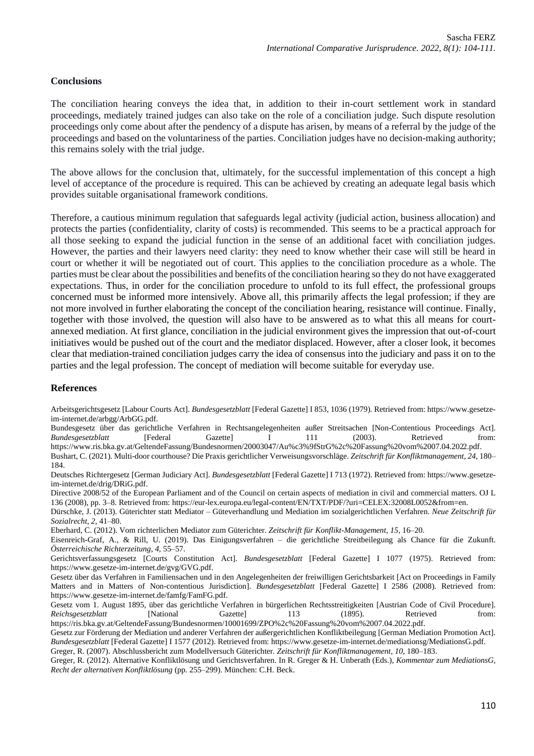## **Conclusions**

The conciliation hearing conveys the idea that, in addition to their in-court settlement work in standard proceedings, mediately trained judges can also take on the role of a conciliation judge. Such dispute resolution proceedings only come about after the pendency of a dispute has arisen, by means of a referral by the judge of the proceedings and based on the voluntariness of the parties. Conciliation judges have no decision-making authority; this remains solely with the trial judge.

The above allows for the conclusion that, ultimately, for the successful implementation of this concept a high level of acceptance of the procedure is required. This can be achieved by creating an adequate legal basis which provides suitable organisational framework conditions.

Therefore, a cautious minimum regulation that safeguards legal activity (judicial action, business allocation) and protects the parties (confidentiality, clarity of costs) is recommended. This seems to be a practical approach for all those seeking to expand the judicial function in the sense of an additional facet with conciliation judges. However, the parties and their lawyers need clarity: they need to know whether their case will still be heard in court or whether it will be negotiated out of court. This applies to the conciliation procedure as a whole. The parties must be clear about the possibilities and benefits of the conciliation hearing so they do not have exaggerated expectations. Thus, in order for the conciliation procedure to unfold to its full effect, the professional groups concerned must be informed more intensively. Above all, this primarily affects the legal profession; if they are not more involved in further elaborating the concept of the conciliation hearing, resistance will continue. Finally, together with those involved, the question will also have to be answered as to what this all means for courtannexed mediation. At first glance, conciliation in the judicial environment gives the impression that out-of-court initiatives would be pushed out of the court and the mediator displaced. However, after a closer look, it becomes clear that mediation-trained conciliation judges carry the idea of consensus into the judiciary and pass it on to the parties and the legal profession. The concept of mediation will become suitable for everyday use.

#### **References**

Arbeitsgerichtsgesetz [Labour Courts Act]. *Bundesgesetzblatt* [Federal Gazette] I 853, 1036 (1979). Retrieved from: https://www.gesetzeim-internet.de/arbgg/ArbGG.pdf.

Bundesgesetz über das gerichtliche Verfahren in Rechtsangelegenheiten außer Streitsachen [Non-Contentious Proceedings Act]. *Bundesgesetzblatt* [Federal Gazette] I 111 (2003). Retrieved from: https://www.ris.bka.gv.at/GeltendeFassung/Bundesnormen/20003047/Au%c3%9fStrG%2c%20Fassung%20vom%2007.04.2022.pdf.

Bushart, C. (2021). Multi-door courthouse? Die Praxis gerichtlicher Verweisungsvorschläge. *Zeitschrift für Konfliktmanagement*, *24*, 180– 184.

Deutsches Richtergesetz [German Judiciary Act]. *Bundesgesetzblatt* [Federal Gazette] I 713 (1972). Retrieved from: https://www.gesetzeim-internet.de/drig/DRiG.pdf.

Directive 2008/52 of the European Parliament and of the Council on certain aspects of mediation in civil and commercial matters. OJ L 136 (2008), pp. 3–8. Retrieved from: https://eur-lex.europa.eu/legal-content/EN/TXT/PDF/?uri=CELEX:32008L0052&from=en.

Dürschke, J. (2013). Güterichter statt Mediator – Güteverhandlung und Mediation im sozialgerichtlichen Verfahren. *Neue Zeitschrift für Sozialrecht*, *2*, 41–80.

Eberhard, C. (2012). Vom richterlichen Mediator zum Güterichter. *Zeitschrift für Konflikt-Management*, *15*, 16–20.

Eisenreich-Graf, A., & Rill, U. (2019). Das Einigungsverfahren – die gerichtliche Streitbeilegung als Chance für die Zukunft. *Österreichische Richterzeitung*, *4*, 55–57.

Gerichtsverfassungsgesetz [Courts Constitution Act]. *Bundesgesetzblatt* [Federal Gazette] I 1077 (1975). Retrieved from: https://www.gesetze-im-internet.de/gvg/GVG.pdf.

Gesetz über das Verfahren in Familiensachen und in den Angelegenheiten der freiwilligen Gerichtsbarkeit [Act on Proceedings in Family Matters and in Matters of Non-contentious Jurisdiction]. *Bundesgesetzblatt* [Federal Gazette] I 2586 (2008). Retrieved from: https://www.gesetze-im-internet.de/famfg/FamFG.pdf.

Gesetz vom 1. August 1895, über das gerichtliche Verfahren in bürgerlichen Rechtsstreitigkeiten [Austrian Code of Civil Procedure]. *Reichsgesetzblatt* [National Gazette] 113 (1895). Retrieved from: https://ris.bka.gv.at/GeltendeFassung/Bundesnormen/10001699/ZPO%2c%20Fassung%20vom%2007.04.2022.pdf.

Gesetz zur Förderung der Mediation und anderer Verfahren der außergerichtlichen Konfliktbeilegung [German Mediation Promotion Act]. *Bundesgesetzblatt* [Federal Gazette] I 1577 (2012). Retrieved from: https://www.gesetze-im-internet.de/mediationsg/MediationsG.pdf.

Greger, R. (2007). Abschlussbericht zum Modellversuch Güterichter. *Zeitschrift für Konfliktmanagement*, *10*, 180–183. Greger, R. (2012). Alternative Konfliktlösung und Gerichtsverfahren. In R. Greger & H. Unberath (Eds.), *Kommentar zum MediationsG, Recht der alternativen Konfliktlösung* (pp. 255–299). München: C.H. Beck.